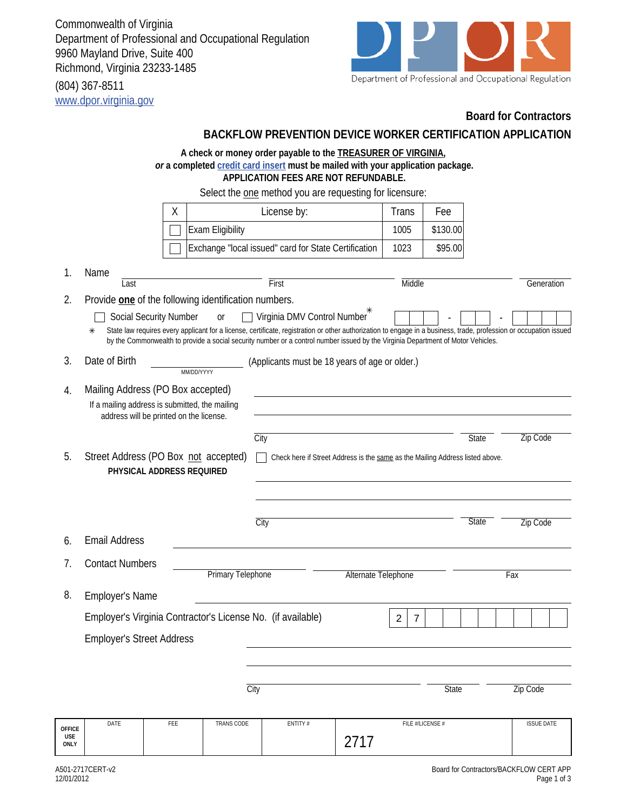Commonwealth of Virginia Department of Professional and Occupational Regulation 9960 Mayland Drive, Suite 400 Richmond, Virginia 23233-1485 (804) 367-8511

www.dpor.virginia.gov



## **Board for Contractors**

|                                     |                                                                                    |                                                                                           |                  | BACKFLOW PREVENTION DEVICE WORKER CERTIFICATION APPLICATION                                                                                                                                                                                                                                                                           |      |        |                  |              |                   |  |  |
|-------------------------------------|------------------------------------------------------------------------------------|-------------------------------------------------------------------------------------------|------------------|---------------------------------------------------------------------------------------------------------------------------------------------------------------------------------------------------------------------------------------------------------------------------------------------------------------------------------------|------|--------|------------------|--------------|-------------------|--|--|
|                                     |                                                                                    |                                                                                           |                  | A check or money order payable to the <b>TREASURER OF VIRGINIA</b> ,<br>or a completed credit card insert must be mailed with your application package.<br><b>APPLICATION FEES ARE NOT REFUNDABLE.</b>                                                                                                                                |      |        |                  |              |                   |  |  |
|                                     | Select the one method you are requesting for licensure:                            |                                                                                           |                  |                                                                                                                                                                                                                                                                                                                                       |      |        |                  |              |                   |  |  |
|                                     |                                                                                    | Χ                                                                                         |                  | License by:                                                                                                                                                                                                                                                                                                                           |      | Trans  | Fee              |              |                   |  |  |
|                                     |                                                                                    |                                                                                           | Exam Eligibility |                                                                                                                                                                                                                                                                                                                                       |      | 1005   | \$130.00         |              |                   |  |  |
|                                     |                                                                                    |                                                                                           |                  | Exchange "local issued" card for State Certification                                                                                                                                                                                                                                                                                  |      | 1023   | \$95.00          |              |                   |  |  |
| 1.                                  | Name<br>Last                                                                       |                                                                                           |                  | First                                                                                                                                                                                                                                                                                                                                 |      | Middle |                  |              | Generation        |  |  |
| 2.                                  | Provide one of the following identification numbers.                               |                                                                                           |                  |                                                                                                                                                                                                                                                                                                                                       |      |        |                  |              |                   |  |  |
|                                     | ⋇                                                                                  | Social Security Number                                                                    | <sub>Or</sub>    | Virginia DMV Control Number<br>State law requires every applicant for a license, certificate, registration or other authorization to engage in a business, trade, profession or occupation issued<br>by the Commonwealth to provide a social security number or a control number issued by the Virginia Department of Motor Vehicles. |      |        |                  |              |                   |  |  |
| 3.                                  | Date of Birth                                                                      | MM/DD/YYYY                                                                                |                  | (Applicants must be 18 years of age or older.)                                                                                                                                                                                                                                                                                        |      |        |                  |              |                   |  |  |
| 4.                                  | Mailing Address (PO Box accepted)                                                  |                                                                                           |                  |                                                                                                                                                                                                                                                                                                                                       |      |        |                  |              |                   |  |  |
|                                     |                                                                                    | If a mailing address is submitted, the mailing<br>address will be printed on the license. |                  |                                                                                                                                                                                                                                                                                                                                       |      |        |                  |              |                   |  |  |
|                                     |                                                                                    |                                                                                           |                  | City                                                                                                                                                                                                                                                                                                                                  |      |        |                  | <b>State</b> | <b>Zip Code</b>   |  |  |
| 5.                                  | Street Address (PO Box not accepted)                                               | PHYSICAL ADDRESS REQUIRED                                                                 |                  | Check here if Street Address is the same as the Mailing Address listed above.                                                                                                                                                                                                                                                         |      |        |                  |              |                   |  |  |
|                                     |                                                                                    |                                                                                           |                  | City                                                                                                                                                                                                                                                                                                                                  |      |        |                  | <b>State</b> | Zip Code          |  |  |
| 6.                                  | <b>Email Address</b>                                                               |                                                                                           |                  |                                                                                                                                                                                                                                                                                                                                       |      |        |                  |              |                   |  |  |
| 7.                                  | <b>Contact Numbers</b><br>Primary Telephone<br>Alternate Telephone                 |                                                                                           |                  |                                                                                                                                                                                                                                                                                                                                       |      |        | Fax              |              |                   |  |  |
| 8.                                  | Employer's Name                                                                    |                                                                                           |                  |                                                                                                                                                                                                                                                                                                                                       |      |        |                  |              |                   |  |  |
|                                     | Employer's Virginia Contractor's License No. (if available)<br>$\overline{2}$<br>7 |                                                                                           |                  |                                                                                                                                                                                                                                                                                                                                       |      |        |                  |              |                   |  |  |
|                                     | <b>Employer's Street Address</b>                                                   |                                                                                           |                  |                                                                                                                                                                                                                                                                                                                                       |      |        |                  |              |                   |  |  |
|                                     |                                                                                    |                                                                                           |                  |                                                                                                                                                                                                                                                                                                                                       |      |        |                  |              |                   |  |  |
|                                     |                                                                                    |                                                                                           | City             |                                                                                                                                                                                                                                                                                                                                       |      |        | <b>State</b>     |              | Zip Code          |  |  |
| <b>OFFICE</b><br>USE<br><b>ONLY</b> | DATE                                                                               | FEE                                                                                       | TRANS CODE       | ENTITY #                                                                                                                                                                                                                                                                                                                              | 2717 |        | FILE #/LICENSE # |              | <b>ISSUE DATE</b> |  |  |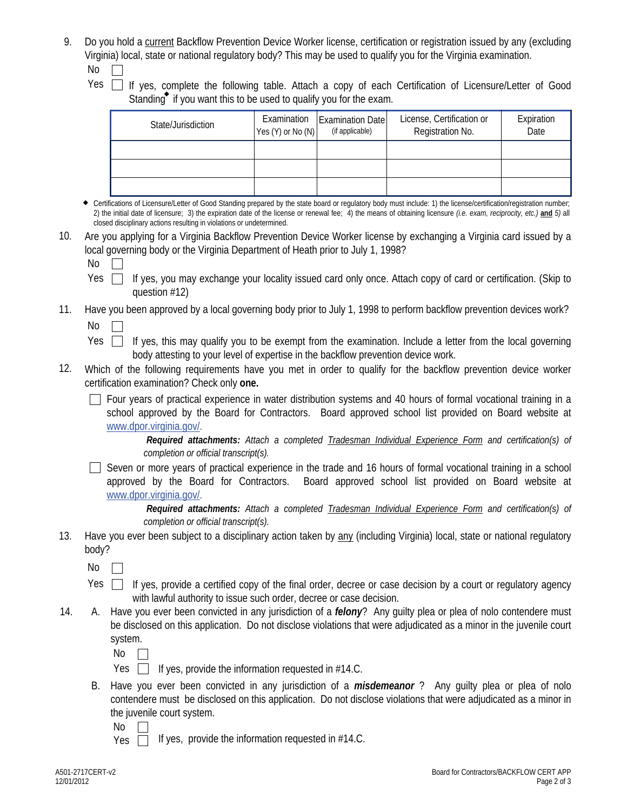- 9. Do you hold a current Backflow Prevention Device Worker license, certification or registration issued by any (excluding Virginia) local, state or national regulatory body? This may be used to qualify you for the Virginia examination.  $No$ 
	-
	- $Yes \fbox{If yes, complete the following table. Attach a copy of each Certification of Licensure/Letter of Good$ Standing if you want this to be used to qualify you for the exam.

| State/Jurisdiction | $Yes (Y)$ or No $(N)$ | Examination   Examination Date  <br>(if applicable) | License, Certification or<br>Registration No. | Expiration<br>Date |
|--------------------|-----------------------|-----------------------------------------------------|-----------------------------------------------|--------------------|
|                    |                       |                                                     |                                               |                    |
|                    |                       |                                                     |                                               |                    |
|                    |                       |                                                     |                                               |                    |

Certifications of Licensure/Letter of Good Standing prepared by the state board or regulatory body must include: 1) the license/certification/registration number; 2) the initial date of licensure; 3) the expiration date of the license or renewal fee; 4) the means of obtaining licensure *(i.e. exam, reciprocity, etc.)* **and** *5)* all closed disciplinary actions resulting in violations or undetermined.

10. Are you applying for a Virginia Backflow Prevention Device Worker license by exchanging a Virginia card issued by a local governing body or the Virginia Department of Heath prior to July 1, 1998?

 $No$ 

If yes, you may exchange your locality issued card only once. Attach copy of card or certification. (Skip to question #12) Yes  $\Box$ 

## Have you been approved by a local governing body prior to July 1, 1998 to perform backflow prevention devices work?  $No$ 11.

- Yes  $\Box$  If yes, this may qualify you to be exempt from the examination. Include a letter from the local governing body attesting to your level of expertise in the backflow prevention device work.
- 12. Which of the following requirements have you met in order to qualify for the backflow prevention device worker certification examination? Check only **one.**
	- $\Box$  Four years of practical experience in water distribution systems and 40 hours of formal vocational training in a school approved by the Board for Contractors. Board approved school list provided on Board website at www.dpor.virginia.gov/.

*Required attachments: Attach a completed Tradesman Individual Experience Form and certification(s) of completion or official transcript(s).* 

 $\Box$  Seven or more years of practical experience in the trade and 16 hours of formal vocational training in a school approved by the Board for Contractors. Board approved school list provided on Board website at www.dpor.virginia.gov/.

*Required attachments: Attach a completed Tradesman Individual Experience Form and certification(s) of completion or official transcript(s).* 

13. Have you ever been subject to a disciplinary action taken by any (including Virginia) local, state or national regulatory body?

 $No \ \Box$ 

- Yes  $\Box$  If yes, provide a certified copy of the final order, decree or case decision by a court or regulatory agency with lawful authority to issue such order, decree or case decision.
- A. Have you ever been convicted in any jurisdiction of a *felony*? Any guilty plea or plea of nolo contendere must be disclosed on this application. Do not disclose violations that were adjudicated as a minor in the juvenile court system. 14.

 $No \Box$ 

- Yes  $\Box$  If yes, provide the information requested in #14.C.
- B. Have you ever been convicted in any jurisdiction of a *misdemeanor* ? Any guilty plea or plea of nolo contendere must be disclosed on this application. Do not disclose violations that were adjudicated as a minor in the juvenile court system.

No

If yes, provide the information requested in #14.C. Yes  $\Box$